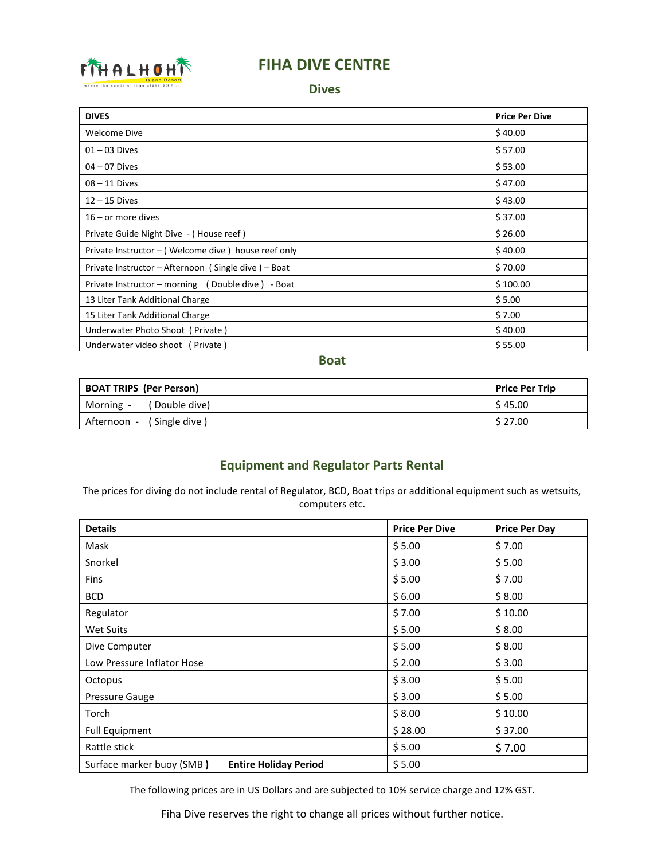

# **FIHA DIVE CENTRE**

#### **Dives**

| <b>DIVES</b>                                        | <b>Price Per Dive</b> |
|-----------------------------------------------------|-----------------------|
| Welcome Dive                                        | \$40.00               |
| $01 - 03$ Dives                                     | \$57.00               |
| $04 - 07$ Dives                                     | \$53.00               |
| $08 - 11$ Dives                                     | \$47.00               |
| $12 - 15$ Dives                                     | \$43.00               |
| $16 -$ or more dives                                | \$37.00               |
| Private Guide Night Dive - (House reef)             | \$26.00               |
| Private Instructor - (Welcome dive) house reef only | \$40.00               |
| Private Instructor - Afternoon (Single dive) - Boat | \$70.00               |
| Private Instructor - morning (Double dive) - Boat   | \$100.00              |
| 13 Liter Tank Additional Charge                     | \$5.00                |
| 15 Liter Tank Additional Charge                     | \$7.00                |
| Underwater Photo Shoot (Private)                    | \$40.00               |
| Underwater video shoot (Private)                    | \$55.00               |

**Boat**

| <b>BOAT TRIPS (Per Person)</b> | <b>Price Per Trip</b> |
|--------------------------------|-----------------------|
| (Double dive)<br>Morning -     | \$45.00               |
| (Single dive)<br>Afternoon -   | \$27.00               |

# **Equipment and Regulator Parts Rental**

The prices for diving do not include rental of Regulator, BCD, Boat trips or additional equipment such as wetsuits, computers etc.

| <b>Details</b>                                            | <b>Price Per Dive</b> | <b>Price Per Day</b> |
|-----------------------------------------------------------|-----------------------|----------------------|
| Mask                                                      | \$5.00                | \$7.00               |
| Snorkel                                                   | \$3.00                | \$5.00               |
| <b>Fins</b>                                               | \$5.00                | \$7.00               |
| <b>BCD</b>                                                | \$6.00                | \$8.00               |
| Regulator                                                 | \$7.00                | \$10.00              |
| Wet Suits                                                 | \$5.00                | \$8.00               |
| Dive Computer                                             | \$5.00                | \$8.00               |
| Low Pressure Inflator Hose                                | \$2.00                | \$3.00               |
| Octopus                                                   | \$3.00                | \$5.00               |
| <b>Pressure Gauge</b>                                     | \$3.00                | \$5.00               |
| Torch                                                     | \$8.00                | \$10.00              |
| <b>Full Equipment</b>                                     | \$28.00               | \$37.00              |
| Rattle stick                                              | \$5.00                | \$7.00               |
| Surface marker buoy (SMB)<br><b>Entire Holiday Period</b> | \$5.00                |                      |

The following prices are in US Dollars and are subjected to 10% service charge and 12% GST.

Fiha Dive reserves the right to change all prices without further notice.